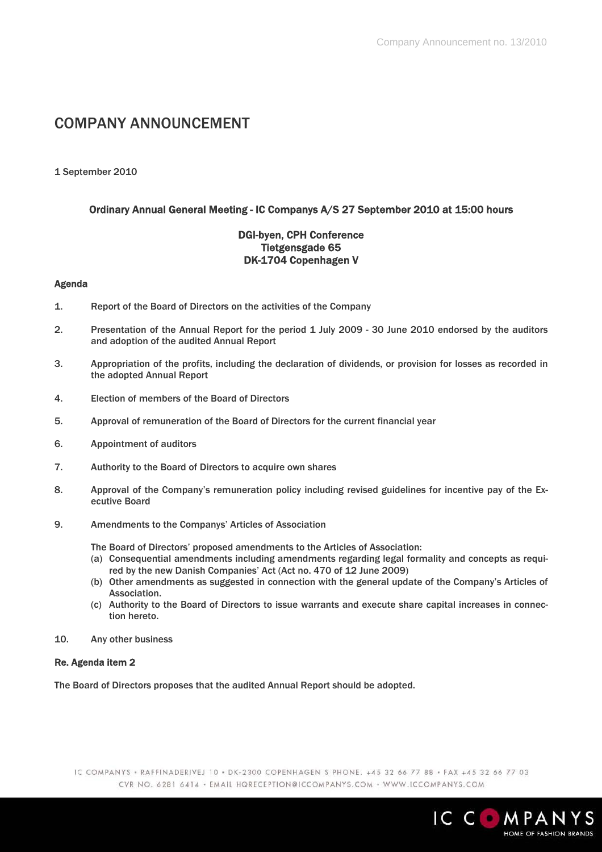# COMPANY ANNOUNCEMENT

# 1 September 2010

# Ordinary Annual General Meeting - IC Companys A/S 27 September 2010 at 15:00 hours

# DGI-byen, CPH Conference Tietgensgade 65 DK-1704 Copenhagen V

### Agenda

- 1. Report of the Board of Directors on the activities of the Company
- 2. Presentation of the Annual Report for the period 1 July 2009 30 June 2010 endorsed by the auditors and adoption of the audited Annual Report
- 3. Appropriation of the profits, including the declaration of dividends, or provision for losses as recorded in the adopted Annual Report
- 4. Election of members of the Board of Directors
- 5. Approval of remuneration of the Board of Directors for the current financial year
- 6. Appointment of auditors
- 7. Authority to the Board of Directors to acquire own shares
- 8. Approval of the Company's remuneration policy including revised guidelines for incentive pay of the Executive Board
- 9. Amendments to the Companys' Articles of Association

The Board of Directors' proposed amendments to the Articles of Association:

- (a) Consequential amendments including amendments regarding legal formality and concepts as required by the new Danish Companies' Act (Act no. 470 of 12 June 2009)
- (b) Other amendments as suggested in connection with the general update of the Company's Articles of Association.
- (c) Authority to the Board of Directors to issue warrants and execute share capital increases in connection hereto.
- 10. Any other business

# Re. Agenda item 2

The Board of Directors proposes that the audited Annual Report should be adopted.

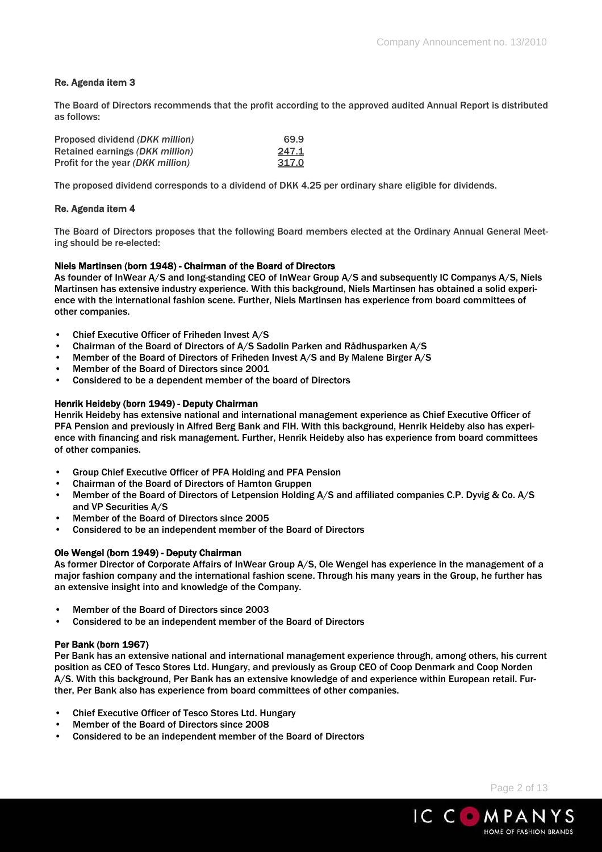# Re. Agenda item 3

The Board of Directors recommends that the profit according to the approved audited Annual Report is distributed as follows:

| Proposed dividend (DKK million)   | 69.9  |
|-----------------------------------|-------|
| Retained earnings (DKK million)   | 247.1 |
| Profit for the year (DKK million) | 317.0 |

The proposed dividend corresponds to a dividend of DKK 4.25 per ordinary share eligible for dividends.

### Re. Agenda item 4

The Board of Directors proposes that the following Board members elected at the Ordinary Annual General Meeting should be re-elected:

### Niels Martinsen (born 1948) - Chairman of the Board of Directors

As founder of InWear A/S and long-standing CEO of InWear Group A/S and subsequently IC Companys A/S, Niels Martinsen has extensive industry experience. With this background, Niels Martinsen has obtained a solid experience with the international fashion scene. Further, Niels Martinsen has experience from board committees of other companies.

- Chief Executive Officer of Friheden Invest A/S
- Chairman of the Board of Directors of A/S Sadolin Parken and Rådhusparken A/S
- Member of the Board of Directors of Friheden Invest A/S and By Malene Birger A/S
- Member of the Board of Directors since 2001
- Considered to be a dependent member of the board of Directors

### Henrik Heideby (born 1949) - Deputy Chairman

Henrik Heideby has extensive national and international management experience as Chief Executive Officer of PFA Pension and previously in Alfred Berg Bank and FIH. With this background, Henrik Heideby also has experience with financing and risk management. Further, Henrik Heideby also has experience from board committees of other companies.

- Group Chief Executive Officer of PFA Holding and PFA Pension
- Chairman of the Board of Directors of Hamton Gruppen
- Member of the Board of Directors of Letpension Holding A/S and affiliated companies C.P. Dyvig & Co. A/S and VP Securities A/S
- Member of the Board of Directors since 2005
- Considered to be an independent member of the Board of Directors

### Ole Wengel (born 1949) - Deputy Chairman

As former Director of Corporate Affairs of InWear Group A/S, Ole Wengel has experience in the management of a major fashion company and the international fashion scene. Through his many years in the Group, he further has an extensive insight into and knowledge of the Company.

- Member of the Board of Directors since 2003
- Considered to be an independent member of the Board of Directors

### Per Bank (born 1967)

Per Bank has an extensive national and international management experience through, among others, his current position as CEO of Tesco Stores Ltd. Hungary, and previously as Group CEO of Coop Denmark and Coop Norden A/S. With this background, Per Bank has an extensive knowledge of and experience within European retail. Further, Per Bank also has experience from board committees of other companies.

- Chief Executive Officer of Tesco Stores Ltd. Hungary
- Member of the Board of Directors since 2008
- Considered to be an independent member of the Board of Directors

Page 2 of 13

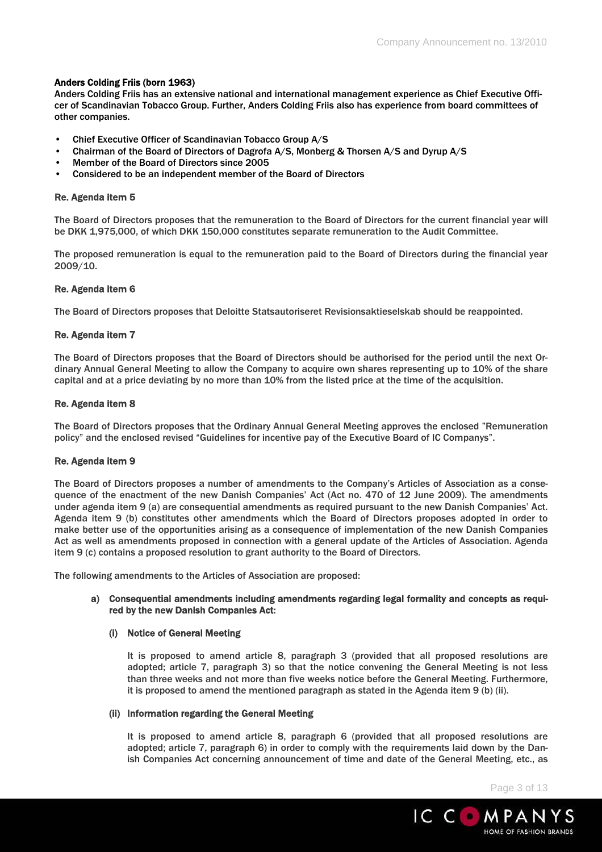### Anders Colding Friis (born 1963)

Anders Colding Friis has an extensive national and international management experience as Chief Executive Officer of Scandinavian Tobacco Group. Further, Anders Colding Friis also has experience from board committees of other companies.

- Chief Executive Officer of Scandinavian Tobacco Group A/S
- Chairman of the Board of Directors of Dagrofa A/S, Monberg & Thorsen A/S and Dyrup A/S
- Member of the Board of Directors since 2005
- Considered to be an independent member of the Board of Directors

### Re. Agenda item 5

The Board of Directors proposes that the remuneration to the Board of Directors for the current financial year will be DKK 1,975,000, of which DKK 150,000 constitutes separate remuneration to the Audit Committee.

The proposed remuneration is equal to the remuneration paid to the Board of Directors during the financial year 2009/10.

### Re. Agenda item 6

The Board of Directors proposes that Deloitte Statsautoriseret Revisionsaktieselskab should be reappointed.

### Re. Agenda item 7

The Board of Directors proposes that the Board of Directors should be authorised for the period until the next Ordinary Annual General Meeting to allow the Company to acquire own shares representing up to 10% of the share capital and at a price deviating by no more than 10% from the listed price at the time of the acquisition.

### Re. Agenda item 8

The Board of Directors proposes that the Ordinary Annual General Meeting approves the enclosed "Remuneration policy" and the enclosed revised "Guidelines for incentive pay of the Executive Board of IC Companys".

### Re. Agenda item 9

The Board of Directors proposes a number of amendments to the Company's Articles of Association as a consequence of the enactment of the new Danish Companies' Act (Act no. 470 of 12 June 2009). The amendments under agenda item 9 (a) are consequential amendments as required pursuant to the new Danish Companies' Act. Agenda item 9 (b) constitutes other amendments which the Board of Directors proposes adopted in order to make better use of the opportunities arising as a consequence of implementation of the new Danish Companies Act as well as amendments proposed in connection with a general update of the Articles of Association. Agenda item 9 (c) contains a proposed resolution to grant authority to the Board of Directors.

The following amendments to the Articles of Association are proposed:

### a) Consequential amendments including amendments regarding legal formality and concepts as required by the new Danish Companies Act:

### (i) Notice of General Meeting

It is proposed to amend article 8, paragraph 3 (provided that all proposed resolutions are adopted; article 7, paragraph 3) so that the notice convening the General Meeting is not less than three weeks and not more than five weeks notice before the General Meeting. Furthermore, it is proposed to amend the mentioned paragraph as stated in the Agenda item 9 (b) (ii).

### (ii) Information regarding the General Meeting

It is proposed to amend article 8, paragraph 6 (provided that all proposed resolutions are adopted; article 7, paragraph 6) in order to comply with the requirements laid down by the Danish Companies Act concerning announcement of time and date of the General Meeting, etc., as

Page 3 of 13

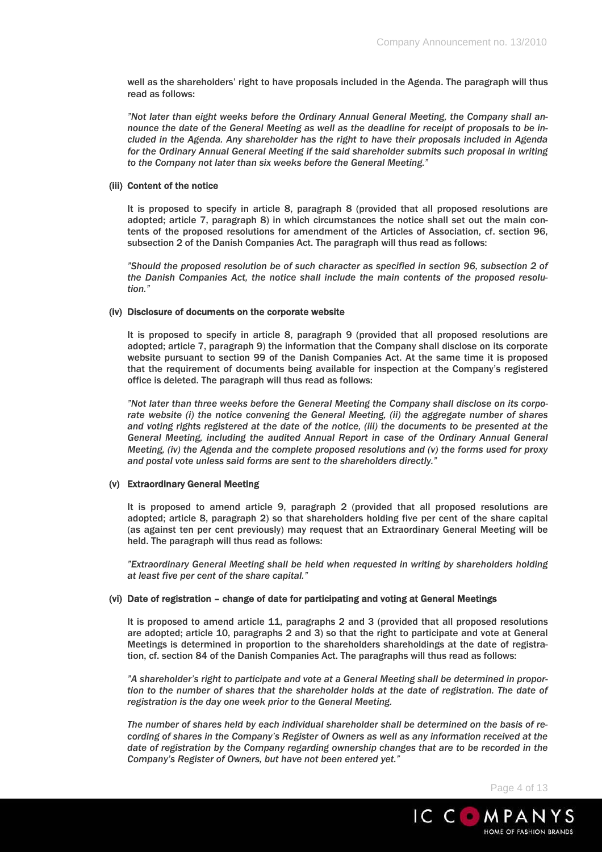well as the shareholders' right to have proposals included in the Agenda. The paragraph will thus read as follows:

*"Not later than eight weeks before the Ordinary Annual General Meeting, the Company shall announce the date of the General Meeting as well as the deadline for receipt of proposals to be included in the Agenda. Any shareholder has the right to have their proposals included in Agenda for the Ordinary Annual General Meeting if the said shareholder submits such proposal in writing to the Company not later than six weeks before the General Meeting."* 

### (iii) Content of the notice

It is proposed to specify in article 8, paragraph 8 (provided that all proposed resolutions are adopted; article 7, paragraph 8) in which circumstances the notice shall set out the main contents of the proposed resolutions for amendment of the Articles of Association, cf. section 96, subsection 2 of the Danish Companies Act. The paragraph will thus read as follows:

*"Should the proposed resolution be of such character as specified in section 96, subsection 2 of the Danish Companies Act, the notice shall include the main contents of the proposed resolution."* 

### (iv) Disclosure of documents on the corporate website

It is proposed to specify in article 8, paragraph 9 (provided that all proposed resolutions are adopted; article 7, paragraph 9) the information that the Company shall disclose on its corporate website pursuant to section 99 of the Danish Companies Act. At the same time it is proposed that the requirement of documents being available for inspection at the Company's registered office is deleted. The paragraph will thus read as follows:

*"Not later than three weeks before the General Meeting the Company shall disclose on its corporate website (i) the notice convening the General Meeting, (ii) the aggregate number of shares and voting rights registered at the date of the notice, (iii) the documents to be presented at the General Meeting, including the audited Annual Report in case of the Ordinary Annual General Meeting, (iv) the Agenda and the complete proposed resolutions and (v) the forms used for proxy and postal vote unless said forms are sent to the shareholders directly."* 

### (v) Extraordinary General Meeting

It is proposed to amend article 9, paragraph 2 (provided that all proposed resolutions are adopted; article 8, paragraph 2) so that shareholders holding five per cent of the share capital (as against ten per cent previously) may request that an Extraordinary General Meeting will be held. The paragraph will thus read as follows:

*"Extraordinary General Meeting shall be held when requested in writing by shareholders holding at least five per cent of the share capital."* 

### (vi) Date of registration – change of date for participating and voting at General Meetings

It is proposed to amend article 11, paragraphs 2 and 3 (provided that all proposed resolutions are adopted; article 10, paragraphs 2 and 3) so that the right to participate and vote at General Meetings is determined in proportion to the shareholders shareholdings at the date of registration, cf. section 84 of the Danish Companies Act. The paragraphs will thus read as follows:

*"A shareholder's right to participate and vote at a General Meeting shall be determined in propor*tion to the number of shares that the shareholder holds at the date of registration. The date of *registration is the day one week prior to the General Meeting.* 

*The number of shares held by each individual shareholder shall be determined on the basis of recording of shares in the Company's Register of Owners as well as any information received at the date of registration by the Company regarding ownership changes that are to be recorded in the Company's Register of Owners, but have not been entered yet."* 

Page 4 of 13

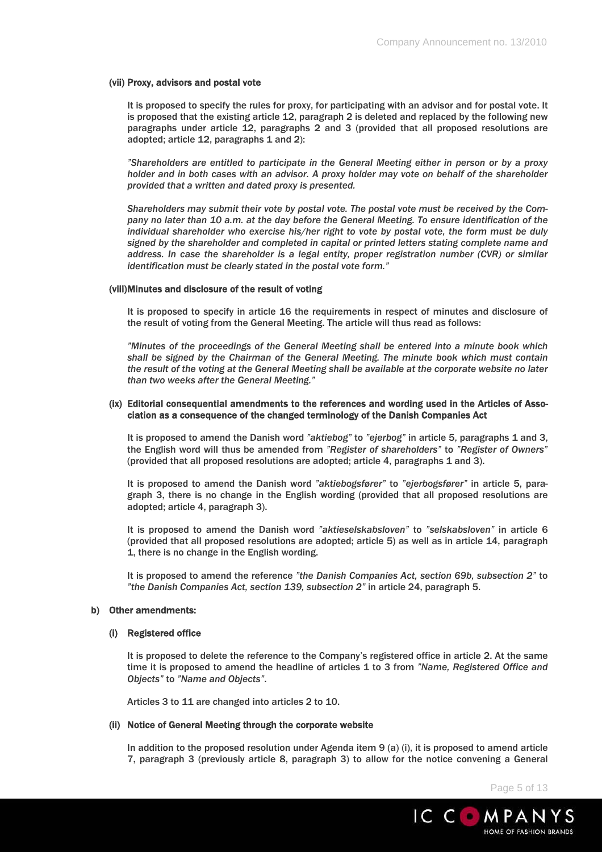### (vii) Proxy, advisors and postal vote

It is proposed to specify the rules for proxy, for participating with an advisor and for postal vote. It is proposed that the existing article 12, paragraph 2 is deleted and replaced by the following new paragraphs under article 12, paragraphs 2 and 3 (provided that all proposed resolutions are adopted; article 12, paragraphs 1 and 2):

*"Shareholders are entitled to participate in the General Meeting either in person or by a proxy holder and in both cases with an advisor. A proxy holder may vote on behalf of the shareholder provided that a written and dated proxy is presented.* 

*Shareholders may submit their vote by postal vote. The postal vote must be received by the Company no later than 10 a.m. at the day before the General Meeting. To ensure identification of the individual shareholder who exercise his/her right to vote by postal vote, the form must be duly signed by the shareholder and completed in capital or printed letters stating complete name and address. In case the shareholder is a legal entity, proper registration number (CVR) or similar identification must be clearly stated in the postal vote form."* 

#### (viii) Minutes and disclosure of the result of voting

It is proposed to specify in article 16 the requirements in respect of minutes and disclosure of the result of voting from the General Meeting. The article will thus read as follows:

*"Minutes of the proceedings of the General Meeting shall be entered into a minute book which shall be signed by the Chairman of the General Meeting. The minute book which must contain the result of the voting at the General Meeting shall be available at the corporate website no later than two weeks after the General Meeting."* 

### (ix) Editorial consequential amendments to the references and wording used in the Articles of Association as a consequence of the changed terminology of the Danish Companies Act

It is proposed to amend the Danish word *"aktiebog"* to *"ejerbog"* in article 5, paragraphs 1 and 3, the English word will thus be amended from *"Register of shareholders"* to *"Register of Owners"* (provided that all proposed resolutions are adopted; article 4, paragraphs 1 and 3).

It is proposed to amend the Danish word *"aktiebogsfører"* to *"ejerbogsfører"* in article 5, paragraph 3, there is no change in the English wording (provided that all proposed resolutions are adopted; article 4, paragraph 3).

It is proposed to amend the Danish word *"aktieselskabsloven"* to *"selskabsloven"* in article 6 (provided that all proposed resolutions are adopted; article 5) as well as in article 14, paragraph 1, there is no change in the English wording.

It is proposed to amend the reference *"the Danish Companies Act, section 69b, subsection 2"* to *"the Danish Companies Act, section 139, subsection 2"* in article 24, paragraph 5.

#### b) Other amendments:

#### (i) Registered office

It is proposed to delete the reference to the Company's registered office in article 2. At the same time it is proposed to amend the headline of articles 1 to 3 from *"Name, Registered Office and Objects"* to *"Name and Objects"*.

Articles 3 to 11 are changed into articles 2 to 10.

### (ii) Notice of General Meeting through the corporate website

In addition to the proposed resolution under Agenda item 9 (a) (i), it is proposed to amend article 7, paragraph 3 (previously article 8, paragraph 3) to allow for the notice convening a General

Page 5 of 13

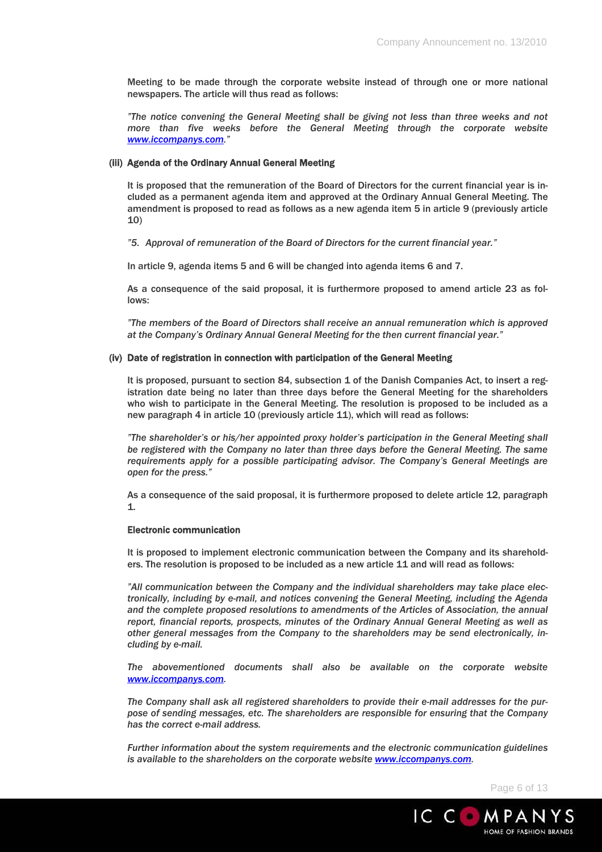Meeting to be made through the corporate website instead of through one or more national newspapers. The article will thus read as follows:

*"The notice convening the General Meeting shall be giving not less than three weeks and not more than five weeks before the General Meeting through the corporate website www.iccompanys.com."* 

### (iii) Agenda of the Ordinary Annual General Meeting

It is proposed that the remuneration of the Board of Directors for the current financial year is included as a permanent agenda item and approved at the Ordinary Annual General Meeting. The amendment is proposed to read as follows as a new agenda item 5 in article 9 (previously article 10)

*"5. Approval of remuneration of the Board of Directors for the current financial year."* 

In article 9, agenda items 5 and 6 will be changed into agenda items 6 and 7.

As a consequence of the said proposal, it is furthermore proposed to amend article 23 as follows:

*"The members of the Board of Directors shall receive an annual remuneration which is approved at the Company's Ordinary Annual General Meeting for the then current financial year."* 

### (iv) Date of registration in connection with participation of the General Meeting

It is proposed, pursuant to section 84, subsection 1 of the Danish Companies Act, to insert a registration date being no later than three days before the General Meeting for the shareholders who wish to participate in the General Meeting. The resolution is proposed to be included as a new paragraph 4 in article 10 (previously article 11), which will read as follows:

*"The shareholder's or his/her appointed proxy holder's participation in the General Meeting shall be registered with the Company no later than three days before the General Meeting. The same requirements apply for a possible participating advisor. The Company's General Meetings are open for the press."* 

As a consequence of the said proposal, it is furthermore proposed to delete article 12, paragraph 1.

# Electronic communication

It is proposed to implement electronic communication between the Company and its shareholders. The resolution is proposed to be included as a new article 11 and will read as follows:

*"All communication between the Company and the individual shareholders may take place electronically, including by e-mail, and notices convening the General Meeting, including the Agenda and the complete proposed resolutions to amendments of the Articles of Association, the annual report, financial reports, prospects, minutes of the Ordinary Annual General Meeting as well as other general messages from the Company to the shareholders may be send electronically, including by e-mail.* 

*The abovementioned documents shall also be available on the corporate website www.iccompanys.com.* 

*The Company shall ask all registered shareholders to provide their e-mail addresses for the purpose of sending messages, etc. The shareholders are responsible for ensuring that the Company has the correct e-mail address.* 

*Further information about the system requirements and the electronic communication guidelines is available to the shareholders on the corporate website www.iccompanys.com.* 

Page 6 of 13

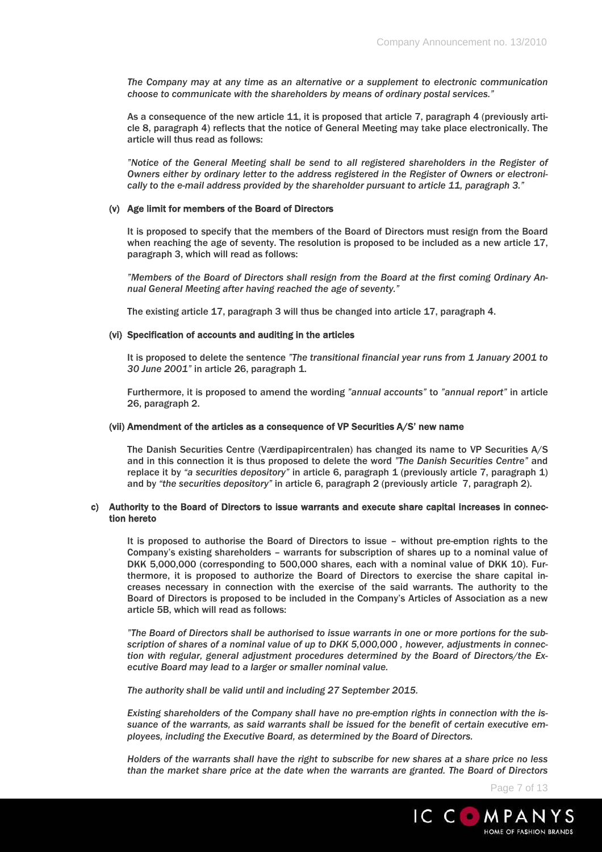*The Company may at any time as an alternative or a supplement to electronic communication choose to communicate with the shareholders by means of ordinary postal services."* 

As a consequence of the new article 11, it is proposed that article 7, paragraph 4 (previously article 8, paragraph 4) reflects that the notice of General Meeting may take place electronically. The article will thus read as follows:

*"Notice of the General Meeting shall be send to all registered shareholders in the Register of Owners either by ordinary letter to the address registered in the Register of Owners or electronically to the e-mail address provided by the shareholder pursuant to article 11, paragraph 3."* 

### (v) Age limit for members of the Board of Directors

It is proposed to specify that the members of the Board of Directors must resign from the Board when reaching the age of seventy. The resolution is proposed to be included as a new article 17, paragraph 3, which will read as follows:

*"Members of the Board of Directors shall resign from the Board at the first coming Ordinary Annual General Meeting after having reached the age of seventy."* 

The existing article 17, paragraph 3 will thus be changed into article 17, paragraph 4.

#### (vi) Specification of accounts and auditing in the articles

It is proposed to delete the sentence *"The transitional financial year runs from 1 January 2001 to 30 June 2001"* in article 26, paragraph 1.

Furthermore, it is proposed to amend the wording *"annual accounts"* to *"annual report"* in article 26, paragraph 2.

#### (vii) Amendment of the articles as a consequence of VP Securities A/S' new name

The Danish Securities Centre (Værdipapircentralen) has changed its name to VP Securities A/S and in this connection it is thus proposed to delete the word *"The Danish Securities Centre"* and replace it by *"a securities depository"* in article 6, paragraph 1 (previously article 7, paragraph 1) and by *"the securities depository"* in article 6, paragraph 2 (previously article 7, paragraph 2).

### c) Authority to the Board of Directors to issue warrants and execute share capital increases in connection hereto

It is proposed to authorise the Board of Directors to issue – without pre-emption rights to the Company's existing shareholders – warrants for subscription of shares up to a nominal value of DKK 5,000,000 (corresponding to 500,000 shares, each with a nominal value of DKK 10). Furthermore, it is proposed to authorize the Board of Directors to exercise the share capital increases necessary in connection with the exercise of the said warrants. The authority to the Board of Directors is proposed to be included in the Company's Articles of Association as a new article 5B, which will read as follows:

*"The Board of Directors shall be authorised to issue warrants in one or more portions for the subscription of shares of a nominal value of up to DKK 5,000,000 , however, adjustments in connection with regular, general adjustment procedures determined by the Board of Directors/the Executive Board may lead to a larger or smaller nominal value.* 

*The authority shall be valid until and including 27 September 2015.* 

*Existing shareholders of the Company shall have no pre-emption rights in connection with the issuance of the warrants, as said warrants shall be issued for the benefit of certain executive employees, including the Executive Board, as determined by the Board of Directors.* 

*Holders of the warrants shall have the right to subscribe for new shares at a share price no less than the market share price at the date when the warrants are granted. The Board of Directors* 

Page 7 of 13

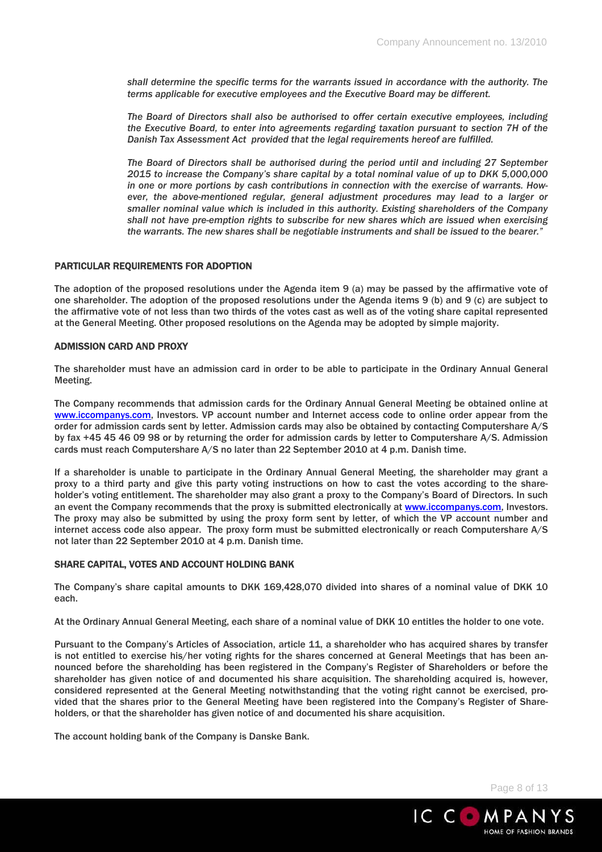*shall determine the specific terms for the warrants issued in accordance with the authority. The terms applicable for executive employees and the Executive Board may be different.* 

*The Board of Directors shall also be authorised to offer certain executive employees, including the Executive Board, to enter into agreements regarding taxation pursuant to section 7H of the Danish Tax Assessment Act provided that the legal requirements hereof are fulfilled.* 

*The Board of Directors shall be authorised during the period until and including 27 September 2015 to increase the Company's share capital by a total nominal value of up to DKK 5,000,000 in one or more portions by cash contributions in connection with the exercise of warrants. However, the above-mentioned regular, general adjustment procedures may lead to a larger or smaller nominal value which is included in this authority. Existing shareholders of the Company shall not have pre-emption rights to subscribe for new shares which are issued when exercising the warrants. The new shares shall be negotiable instruments and shall be issued to the bearer."* 

# PARTICULAR REQUIREMENTS FOR ADOPTION

The adoption of the proposed resolutions under the Agenda item 9 (a) may be passed by the affirmative vote of one shareholder. The adoption of the proposed resolutions under the Agenda items 9 (b) and 9 (c) are subject to the affirmative vote of not less than two thirds of the votes cast as well as of the voting share capital represented at the General Meeting. Other proposed resolutions on the Agenda may be adopted by simple majority.

### ADMISSION CARD AND PROXY

The shareholder must have an admission card in order to be able to participate in the Ordinary Annual General Meeting.

The Company recommends that admission cards for the Ordinary Annual General Meeting be obtained online at www.iccompanys.com, Investors. VP account number and Internet access code to online order appear from the order for admission cards sent by letter. Admission cards may also be obtained by contacting Computershare A/S by fax +45 45 46 09 98 or by returning the order for admission cards by letter to Computershare A/S. Admission cards must reach Computershare A/S no later than 22 September 2010 at 4 p.m. Danish time.

If a shareholder is unable to participate in the Ordinary Annual General Meeting, the shareholder may grant a proxy to a third party and give this party voting instructions on how to cast the votes according to the shareholder's voting entitlement. The shareholder may also grant a proxy to the Company's Board of Directors. In such an event the Company recommends that the proxy is submitted electronically at www.iccompanys.com, Investors. The proxy may also be submitted by using the proxy form sent by letter, of which the VP account number and internet access code also appear. The proxy form must be submitted electronically or reach Computershare A/S not later than 22 September 2010 at 4 p.m. Danish time.

# SHARE CAPITAL, VOTES AND ACCOUNT HOLDING BANK

The Company's share capital amounts to DKK 169,428,070 divided into shares of a nominal value of DKK 10 each.

At the Ordinary Annual General Meeting, each share of a nominal value of DKK 10 entitles the holder to one vote.

Pursuant to the Company's Articles of Association, article 11, a shareholder who has acquired shares by transfer is not entitled to exercise his/her voting rights for the shares concerned at General Meetings that has been announced before the shareholding has been registered in the Company's Register of Shareholders or before the shareholder has given notice of and documented his share acquisition. The shareholding acquired is, however, considered represented at the General Meeting notwithstanding that the voting right cannot be exercised, provided that the shares prior to the General Meeting have been registered into the Company's Register of Shareholders, or that the shareholder has given notice of and documented his share acquisition.

The account holding bank of the Company is Danske Bank.

Page 8 of 13

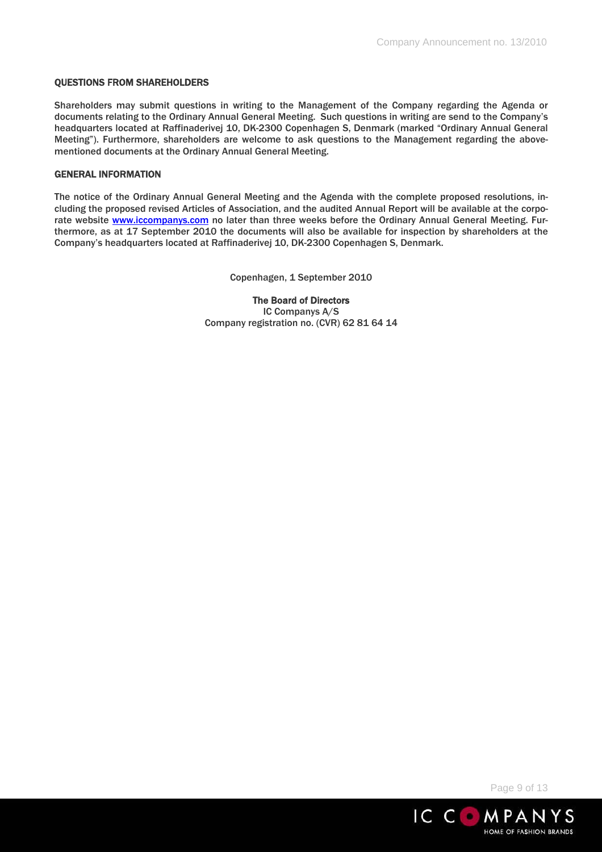### QUESTIONS FROM SHAREHOLDERS

Shareholders may submit questions in writing to the Management of the Company regarding the Agenda or documents relating to the Ordinary Annual General Meeting. Such questions in writing are send to the Company's headquarters located at Raffinaderivej 10, DK-2300 Copenhagen S, Denmark (marked "Ordinary Annual General Meeting"). Furthermore, shareholders are welcome to ask questions to the Management regarding the abovementioned documents at the Ordinary Annual General Meeting.

### GENERAL INFORMATION

The notice of the Ordinary Annual General Meeting and the Agenda with the complete proposed resolutions, including the proposed revised Articles of Association, and the audited Annual Report will be available at the corporate website www.iccompanys.com no later than three weeks before the Ordinary Annual General Meeting. Furthermore, as at 17 September 2010 the documents will also be available for inspection by shareholders at the Company's headquarters located at Raffinaderivej 10, DK-2300 Copenhagen S, Denmark.

Copenhagen, 1 September 2010

The Board of Directors IC Companys A/S Company registration no. (CVR) 62 81 64 14

Page 9 of 13

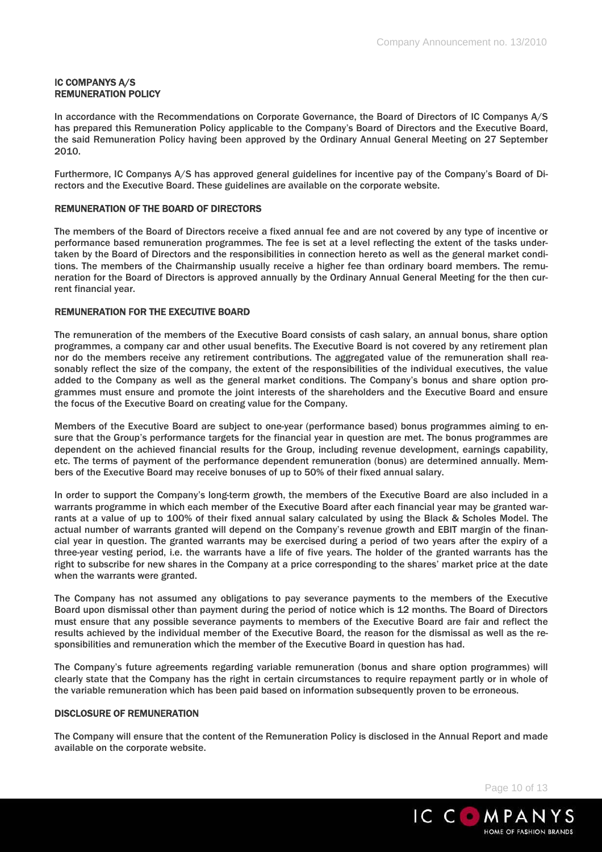# IC COMPANYS A/S REMUNERATION POLICY

In accordance with the Recommendations on Corporate Governance, the Board of Directors of IC Companys A/S has prepared this Remuneration Policy applicable to the Company's Board of Directors and the Executive Board, the said Remuneration Policy having been approved by the Ordinary Annual General Meeting on 27 September 2010.

Furthermore, IC Companys A/S has approved general guidelines for incentive pay of the Company's Board of Directors and the Executive Board. These guidelines are available on the corporate website.

# REMUNERATION OF THE BOARD OF DIRECTORS

The members of the Board of Directors receive a fixed annual fee and are not covered by any type of incentive or performance based remuneration programmes. The fee is set at a level reflecting the extent of the tasks undertaken by the Board of Directors and the responsibilities in connection hereto as well as the general market conditions. The members of the Chairmanship usually receive a higher fee than ordinary board members. The remuneration for the Board of Directors is approved annually by the Ordinary Annual General Meeting for the then current financial year.

# REMUNERATION FOR THE EXECUTIVE BOARD

The remuneration of the members of the Executive Board consists of cash salary, an annual bonus, share option programmes, a company car and other usual benefits. The Executive Board is not covered by any retirement plan nor do the members receive any retirement contributions. The aggregated value of the remuneration shall reasonably reflect the size of the company, the extent of the responsibilities of the individual executives, the value added to the Company as well as the general market conditions. The Company's bonus and share option programmes must ensure and promote the joint interests of the shareholders and the Executive Board and ensure the focus of the Executive Board on creating value for the Company.

Members of the Executive Board are subject to one-year (performance based) bonus programmes aiming to ensure that the Group's performance targets for the financial year in question are met. The bonus programmes are dependent on the achieved financial results for the Group, including revenue development, earnings capability, etc. The terms of payment of the performance dependent remuneration (bonus) are determined annually. Members of the Executive Board may receive bonuses of up to 50% of their fixed annual salary.

In order to support the Company's long-term growth, the members of the Executive Board are also included in a warrants programme in which each member of the Executive Board after each financial year may be granted warrants at a value of up to 100% of their fixed annual salary calculated by using the Black & Scholes Model. The actual number of warrants granted will depend on the Company's revenue growth and EBIT margin of the financial year in question. The granted warrants may be exercised during a period of two years after the expiry of a three-year vesting period, i.e. the warrants have a life of five years. The holder of the granted warrants has the right to subscribe for new shares in the Company at a price corresponding to the shares' market price at the date when the warrants were granted.

The Company has not assumed any obligations to pay severance payments to the members of the Executive Board upon dismissal other than payment during the period of notice which is 12 months. The Board of Directors must ensure that any possible severance payments to members of the Executive Board are fair and reflect the results achieved by the individual member of the Executive Board, the reason for the dismissal as well as the responsibilities and remuneration which the member of the Executive Board in question has had.

The Company's future agreements regarding variable remuneration (bonus and share option programmes) will clearly state that the Company has the right in certain circumstances to require repayment partly or in whole of the variable remuneration which has been paid based on information subsequently proven to be erroneous.

# DISCLOSURE OF REMUNERATION

The Company will ensure that the content of the Remuneration Policy is disclosed in the Annual Report and made available on the corporate website.

Page 10 of 13

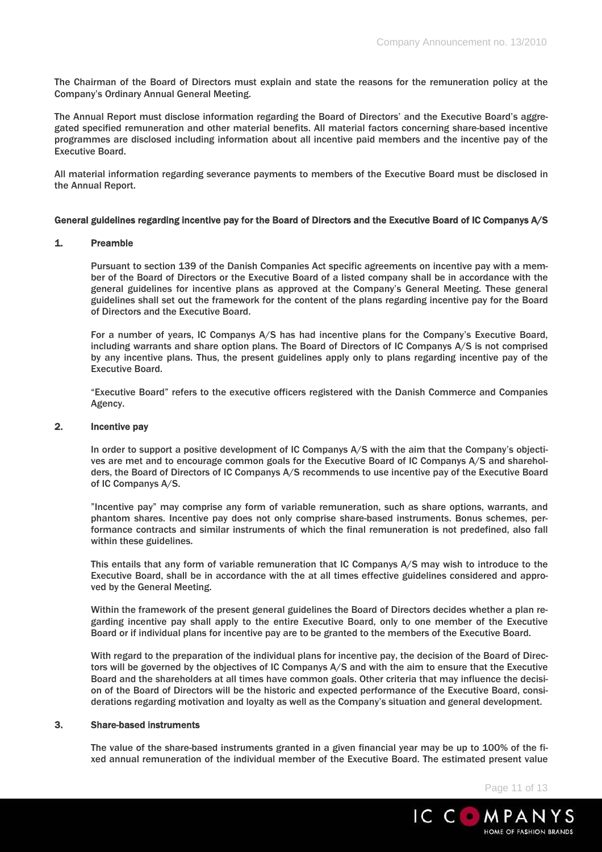The Chairman of the Board of Directors must explain and state the reasons for the remuneration policy at the Company's Ordinary Annual General Meeting.

The Annual Report must disclose information regarding the Board of Directors' and the Executive Board's aggregated specified remuneration and other material benefits. All material factors concerning share-based incentive programmes are disclosed including information about all incentive paid members and the incentive pay of the Executive Board.

All material information regarding severance payments to members of the Executive Board must be disclosed in the Annual Report.

### General guidelines regarding incentive pay for the Board of Directors and the Executive Board of IC Companys A/S

### 1. Preamble

Pursuant to section 139 of the Danish Companies Act specific agreements on incentive pay with a member of the Board of Directors or the Executive Board of a listed company shall be in accordance with the general guidelines for incentive plans as approved at the Company's General Meeting. These general guidelines shall set out the framework for the content of the plans regarding incentive pay for the Board of Directors and the Executive Board.

For a number of years, IC Companys A/S has had incentive plans for the Company's Executive Board, including warrants and share option plans. The Board of Directors of IC Companys A/S is not comprised by any incentive plans. Thus, the present guidelines apply only to plans regarding incentive pay of the Executive Board.

"Executive Board" refers to the executive officers registered with the Danish Commerce and Companies Agency.

# 2. Incentive pay

In order to support a positive development of IC Companys A/S with the aim that the Company's objectives are met and to encourage common goals for the Executive Board of IC Companys A/S and shareholders, the Board of Directors of IC Companys A/S recommends to use incentive pay of the Executive Board of IC Companys A/S.

"Incentive pay" may comprise any form of variable remuneration, such as share options, warrants, and phantom shares. Incentive pay does not only comprise share-based instruments. Bonus schemes, performance contracts and similar instruments of which the final remuneration is not predefined, also fall within these guidelines.

This entails that any form of variable remuneration that IC Companys A/S may wish to introduce to the Executive Board, shall be in accordance with the at all times effective guidelines considered and approved by the General Meeting.

Within the framework of the present general guidelines the Board of Directors decides whether a plan regarding incentive pay shall apply to the entire Executive Board, only to one member of the Executive Board or if individual plans for incentive pay are to be granted to the members of the Executive Board.

With regard to the preparation of the individual plans for incentive pay, the decision of the Board of Directors will be governed by the objectives of IC Companys A/S and with the aim to ensure that the Executive Board and the shareholders at all times have common goals. Other criteria that may influence the decision of the Board of Directors will be the historic and expected performance of the Executive Board, considerations regarding motivation and loyalty as well as the Company's situation and general development.

# 3. Share-based instruments

The value of the share-based instruments granted in a given financial year may be up to 100% of the fixed annual remuneration of the individual member of the Executive Board. The estimated present value

Page 11 of 13

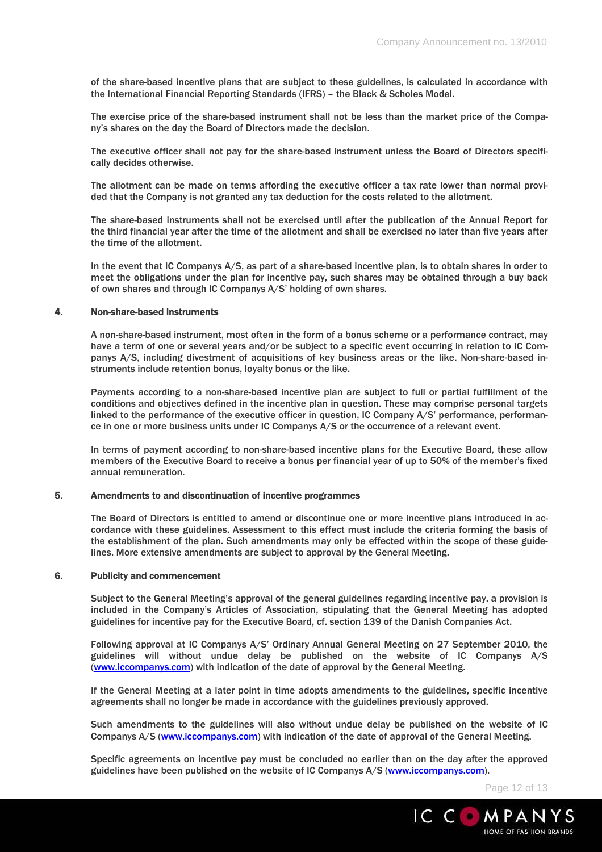of the share-based incentive plans that are subject to these guidelines, is calculated in accordance with the International Financial Reporting Standards (IFRS) – the Black & Scholes Model.

The exercise price of the share-based instrument shall not be less than the market price of the Company's shares on the day the Board of Directors made the decision.

The executive officer shall not pay for the share-based instrument unless the Board of Directors specifically decides otherwise.

The allotment can be made on terms affording the executive officer a tax rate lower than normal provided that the Company is not granted any tax deduction for the costs related to the allotment.

The share-based instruments shall not be exercised until after the publication of the Annual Report for the third financial year after the time of the allotment and shall be exercised no later than five years after the time of the allotment.

In the event that IC Companys A/S, as part of a share-based incentive plan, is to obtain shares in order to meet the obligations under the plan for incentive pay, such shares may be obtained through a buy back of own shares and through IC Companys A/S' holding of own shares.

### 4. Non-share-based instruments

A non-share-based instrument, most often in the form of a bonus scheme or a performance contract, may have a term of one or several years and/or be subject to a specific event occurring in relation to IC Companys A/S, including divestment of acquisitions of key business areas or the like. Non-share-based instruments include retention bonus, loyalty bonus or the like.

Payments according to a non-share-based incentive plan are subject to full or partial fulfillment of the conditions and objectives defined in the incentive plan in question. These may comprise personal targets linked to the performance of the executive officer in question, IC Company A/S' performance, performance in one or more business units under IC Companys A/S or the occurrence of a relevant event.

In terms of payment according to non-share-based incentive plans for the Executive Board, these allow members of the Executive Board to receive a bonus per financial year of up to 50% of the member's fixed annual remuneration.

# 5. Amendments to and discontinuation of incentive programmes

The Board of Directors is entitled to amend or discontinue one or more incentive plans introduced in accordance with these guidelines. Assessment to this effect must include the criteria forming the basis of the establishment of the plan. Such amendments may only be effected within the scope of these guidelines. More extensive amendments are subject to approval by the General Meeting.

#### 6. Publicity and commencement

Subject to the General Meeting's approval of the general guidelines regarding incentive pay, a provision is included in the Company's Articles of Association, stipulating that the General Meeting has adopted guidelines for incentive pay for the Executive Board, cf. section 139 of the Danish Companies Act.

Following approval at IC Companys A/S' Ordinary Annual General Meeting on 27 September 2010, the guidelines will without undue delay be published on the website of IC Companys A/S (www.iccompanys.com) with indication of the date of approval by the General Meeting.

If the General Meeting at a later point in time adopts amendments to the guidelines, specific incentive agreements shall no longer be made in accordance with the guidelines previously approved.

Such amendments to the guidelines will also without undue delay be published on the website of IC Companys A/S (www.iccompanys.com) with indication of the date of approval of the General Meeting.

Specific agreements on incentive pay must be concluded no earlier than on the day after the approved guidelines have been published on the website of IC Companys A/S (www.iccompanys.com).

Page 12 of 13